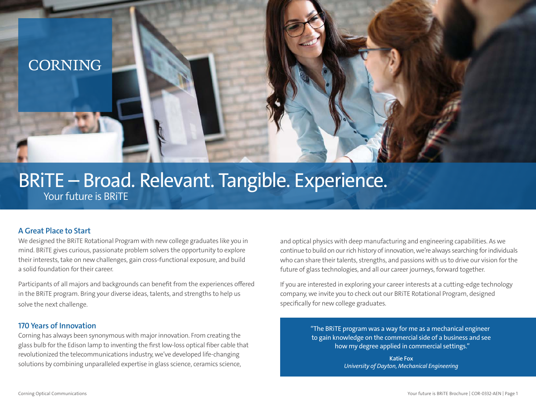## **CORNING**

# BRiTE – Broad. Relevant. Tangible. Experience.

Your future is BRiTE

#### **A Great Place to Start**

We designed the BRiTE Rotational Program with new college graduates like you in mind. BRiTE gives curious, passionate problem solvers the opportunity to explore their interests, take on new challenges, gain cross-functional exposure, and build a solid foundation for their career.

Participants of all majors and backgrounds can benefit from the experiences offered in the BRiTE program. Bring your diverse ideas, talents, and strengths to help us solve the next challenge.

#### **170 Years of Innovation**

Corning has always been synonymous with major innovation. From creating the glass bulb for the Edison lamp to inventing the first low-loss optical fiber cable that revolutionized the telecommunications industry, we've developed life-changing solutions by combining unparalleled expertise in glass science, ceramics science,

and optical physics with deep manufacturing and engineering capabilities. As we continue to build on our rich history of innovation, we're always searching for individuals who can share their talents, strengths, and passions with us to drive our vision for the future of glass technologies, and all our career journeys, forward together.

If you are interested in exploring your career interests at a cutting-edge technology company, we invite you to check out our BRiTE Rotational Program, designed specifically for new college graduates.

> "The BRiTE program was a way for me as a mechanical engineer to gain knowledge on the commercial side of a business and see how my degree applied in commercial settings."

> > **Katie Fox** *University of Dayton, Mechanical Engineering*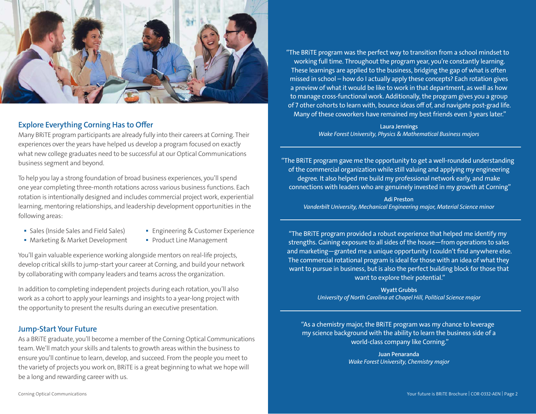

#### **Explore Everything Corning Has to Offer**

Many BRiTE program participants are already fully into their careers at Corning. Their experiences over the years have helped us develop a program focused on exactly what new college graduates need to be successful at our Optical Communications business segment and beyond.

To help you lay a strong foundation of broad business experiences, you'll spend one year completing three-month rotations across various business functions. Each rotation is intentionally designed and includes commercial project work, experiential learning, mentoring relationships, and leadership development opportunities in the following areas:

- 
- Sales (Inside Sales and Field Sales) Engineering & Customer Experience
- Marketing & Market Development Product Line Management
- 

You'll gain valuable experience working alongside mentors on real-life projects, develop critical skills to jump-start your career at Corning, and build your network by collaborating with company leaders and teams across the organization.

In addition to completing independent projects during each rotation, you'll also work as a cohort to apply your learnings and insights to a year-long project with the opportunity to present the results during an executive presentation.

#### **Jump-Start Your Future**

As a BRiTE graduate, you'll become a member of the Corning Optical Communications team. We'll match your skills and talents to growth areas within the business to ensure you'll continue to learn, develop, and succeed. From the people you meet to the variety of projects you work on, BRiTE is a great beginning to what we hope will be a long and rewarding career with us.

"The BRiTE program was the perfect way to transition from a school mindset to working full time. Throughout the program year, you're constantly learning. These learnings are applied to the business, bridging the gap of what is often missed in school – how do I actually apply these concepts? Each rotation gives a preview of what it would be like to work in that department, as well as how to manage cross-functional work. Additionally, the program gives you a group of 7 other cohorts to learn with, bounce ideas off of, and navigate post-grad life. Many of these coworkers have remained my best friends even 3 years later."

> **Laura Jennings** *Wake Forest University, Physics & Mathematical Business majors*

"The BRiTE program gave me the opportunity to get a well-rounded understanding of the commercial organization while still valuing and applying my engineering degree. It also helped me build my professional network early, and make connections with leaders who are genuinely invested in my growth at Corning"

**Adi Preston** *Vanderbilt University, Mechanical Engineering major, Material Science minor*

"The BRiTE program provided a robust experience that helped me identify my strengths. Gaining exposure to all sides of the house—from operations to sales and marketing—granted me a unique opportunity I couldn't find anywhere else. The commercial rotational program is ideal for those with an idea of what they want to pursue in business, but is also the perfect building block for those that want to explore their potential."

> **Wyatt Grubbs** *University of North Carolina at Chapel Hill, Political Science major*

"As a chemistry major, the BRiTE program was my chance to leverage my science background with the ability to learn the business side of a world-class company like Corning."

> **Juan Penaranda** *Wake Forest University, Chemistry major*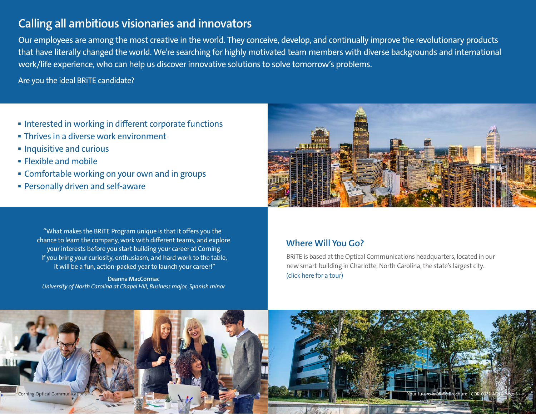## **Calling all ambitious visionaries and innovators**

Our employees are among the most creative in the world. They conceive, develop, and continually improve the revolutionary products that have literally changed the world. We're searching for highly motivated team members with diverse backgrounds and international work/life experience, who can help us discover innovative solutions to solve tomorrow's problems.

Are you the ideal BRiTE candidate?

- Interested in working in different corporate functions
- Thrives in a diverse work environment
- Inquisitive and curious
- Flexible and mobile
- Comfortable working on your own and in groups
- Personally driven and self-aware



"What makes the BRiTE Program unique is that it offers you the chance to learn the company, work with different teams, and explore your interests before you start building your career at Corning. If you bring your curiosity, enthusiasm, and hard work to the table, it will be a fun, action-packed year to launch your career!"

**Deanna MacCormac** *University of North Carolina at Chapel Hill, Business major, Spanish minor*

### **Where Will You Go?**

BRiTE is based at the Optical Communications headquarters, located in our new smart-building in Charlotte, North Carolina, the state's largest city. [\(click here for a tour\)](https://www.youtube.com/watch?v=xpu9y4qEYl8)